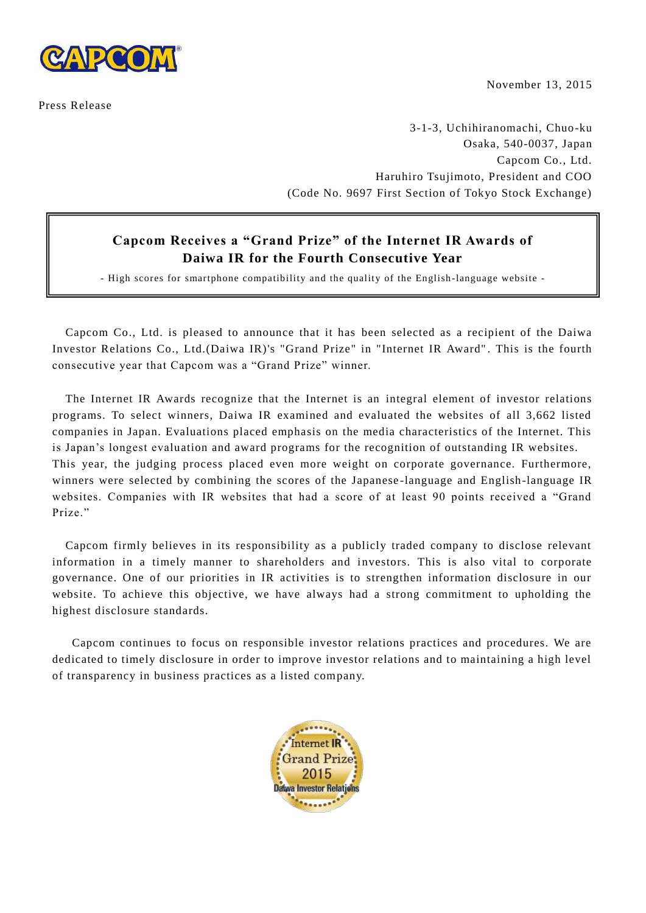

Press Release

November 13, 2015

3-1-3, Uchihiranomachi, Chuo-ku Osaka, 540-0037, Japan Capcom Co., Ltd. Haruhiro Tsujimoto, President and COO (Code No. 9697 First Section of Tokyo Stock Exchange)

## **Capcom Receives a "Grand Prize" of the Internet IR Awards of Daiwa IR for the Fourth Consecutive Year**

- High scores for smartphone compatibility and the quality of the English -language website -

Capcom Co., Ltd. is pleased to announce that it has been selected as a recipient of the Daiwa Investor Relations Co., Ltd.(Daiwa IR)'s "Grand Prize" in "Internet IR Award" . This is the fourth consecutive year that Capcom was a "Grand Prize" winner.

The Internet IR Awards recognize that the Internet is an integral element of investor relations programs. To select winners, Daiwa IR examined and evaluated the websites of all 3,662 listed companies in Japan. Evaluations placed emphasis on the media characteristics of the Internet. This is Japan's longest evaluation and award programs for the recognition of outstanding IR websites. This year, the judging process placed even more weight on corporate governance. Furthermore, winners were selected by combining the scores of the Japanese -language and English-language IR websites. Companies with IR websites that had a score of at least 90 points received a "Grand Prize."

Capcom firmly believes in its responsibility as a publicly traded company to disclose relevant information in a timely manner to shareholders and investors. This is also vital to corporate governance. One of our priorities in IR activities is to strengthen information disclosure in our website. To achieve this objective, we have always had a strong commitment to upholding the highest disclosure standards.

Capcom continues to focus on responsible investor relations practices and procedures. We are dedicated to timely disclosure in order to improve investor relations and to maintaining a high level of transparency in business practices as a listed company.